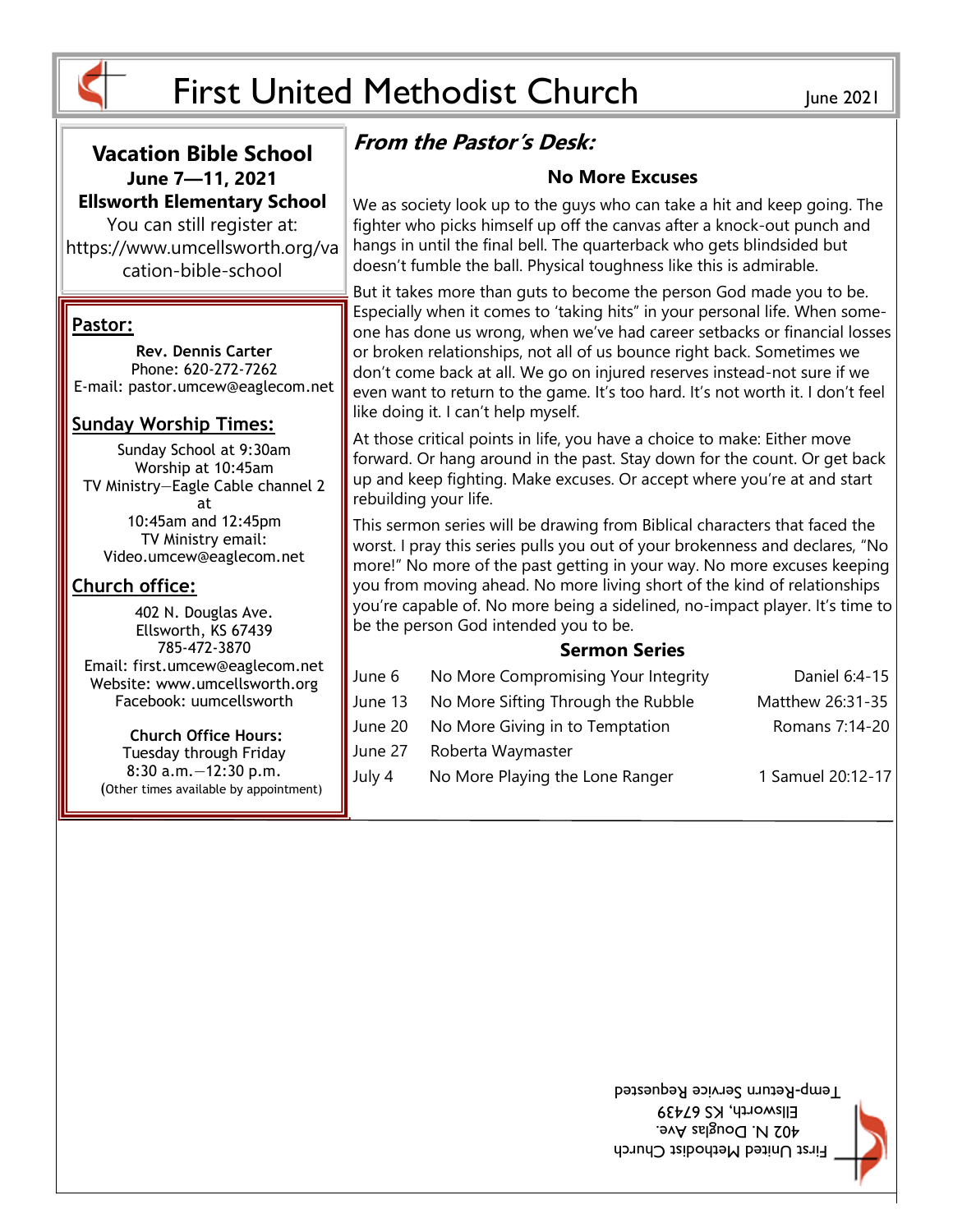

#### **Vacation Bible School June 7—11, 2021 Ellsworth Elementary School**

You can still register at: https://www.umcellsworth.org/va cation-bible-school

#### **Pastor:**

**Rev. Dennis Carter** Phone: 620-272-7262 E-mail: pastor.umcew@eaglecom.net

#### **Sunday Worship Times:**

Sunday School at 9:30am Worship at 10:45am TV Ministry—Eagle Cable channel 2 at 10:45am and 12:45pm TV Ministry email: Video.umcew@eaglecom.net

#### **Church office:**

402 N. Douglas Ave. Ellsworth, KS 67439 785-472-3870 Email: first.umcew@eaglecom.net Website: www.umcellsworth.org Facebook: uumcellsworth

**Church Office Hours:** Tuesday through Friday 8:30 a.m.—12:30 p.m. (Other times available by appointment)

# **From the Pastor's Desk:**

#### **No More Excuses**

We as society look up to the guys who can take a hit and keep going. The fighter who picks himself up off the canvas after a knock-out punch and hangs in until the final bell. The quarterback who gets blindsided but doesn't fumble the ball. Physical toughness like this is admirable.

But it takes more than guts to become the person God made you to be. Especially when it comes to 'taking hits" in your personal life. When someone has done us wrong, when we've had career setbacks or financial losses or broken relationships, not all of us bounce right back. Sometimes we don't come back at all. We go on injured reserves instead-not sure if we even want to return to the game. It's too hard. It's not worth it. I don't feel like doing it. I can't help myself.

At those critical points in life, you have a choice to make: Either move forward. Or hang around in the past. Stay down for the count. Or get back up and keep fighting. Make excuses. Or accept where you're at and start rebuilding your life.

This sermon series will be drawing from Biblical characters that faced the worst. I pray this series pulls you out of your brokenness and declares, "No more!" No more of the past getting in your way. No more excuses keeping you from moving ahead. No more living short of the kind of relationships you're capable of. No more being a sidelined, no-impact player. It's time to be the person God intended you to be.

#### **Sermon Series**

| June 6  | No More Compromising Your Integrity | Daniel 6:4-15     |
|---------|-------------------------------------|-------------------|
| June 13 | No More Sifting Through the Rubble  | Matthew 26:31-35  |
| June 20 | No More Giving in to Temptation     | Romans 7:14-20    |
| June 27 | Roberta Waymaster                   |                   |
| July 4  | No More Playing the Lone Ranger     | 1 Samuel 20:12-17 |

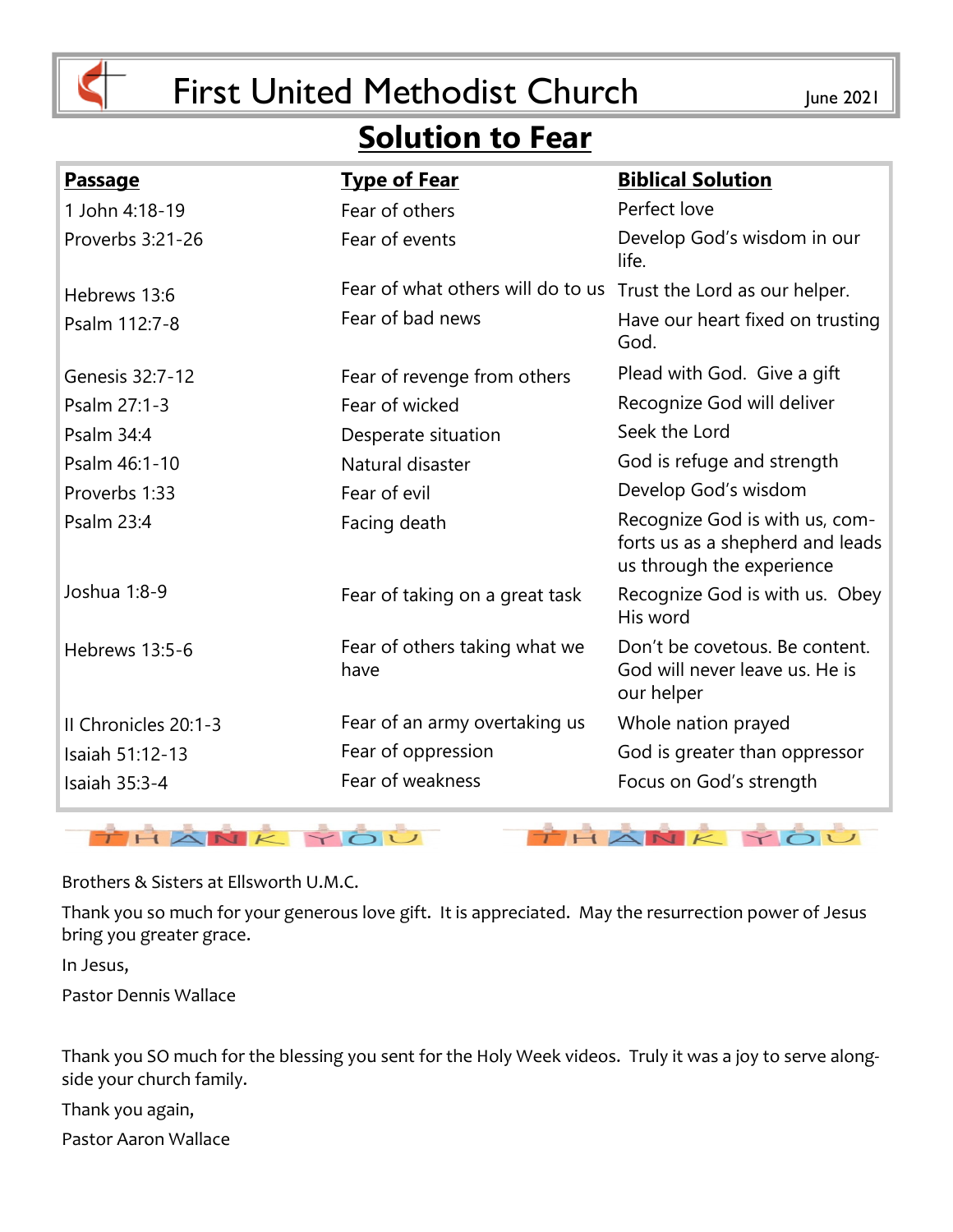

# **Solution to Fear**

| <u>Passage</u>       | <b>Type of Fear</b>                   | <b>Biblical Solution</b>                                                                        |
|----------------------|---------------------------------------|-------------------------------------------------------------------------------------------------|
| 1 John 4:18-19       | Fear of others                        | Perfect love                                                                                    |
| Proverbs 3:21-26     | Fear of events                        | Develop God's wisdom in our<br>life.                                                            |
| Hebrews 13:6         | Fear of what others will do to us     | Trust the Lord as our helper.                                                                   |
| Psalm 112:7-8        | Fear of bad news                      | Have our heart fixed on trusting<br>God.                                                        |
| Genesis 32:7-12      | Fear of revenge from others           | Plead with God. Give a gift                                                                     |
| Psalm 27:1-3         | Fear of wicked                        | Recognize God will deliver                                                                      |
| Psalm 34:4           | Desperate situation                   | Seek the Lord                                                                                   |
| Psalm 46:1-10        | Natural disaster                      | God is refuge and strength                                                                      |
| Proverbs 1:33        | Fear of evil                          | Develop God's wisdom                                                                            |
| Psalm 23:4           | Facing death                          | Recognize God is with us, com-<br>forts us as a shepherd and leads<br>us through the experience |
| Joshua 1:8-9         | Fear of taking on a great task        | Recognize God is with us. Obey<br>His word                                                      |
| Hebrews 13:5-6       | Fear of others taking what we<br>have | Don't be covetous. Be content.<br>God will never leave us. He is<br>our helper                  |
| Il Chronicles 20:1-3 | Fear of an army overtaking us         | Whole nation prayed                                                                             |
| Isaiah 51:12-13      | Fear of oppression                    | God is greater than oppressor                                                                   |
| Isaiah 35:3-4        | Fear of weakness                      | Focus on God's strength                                                                         |



Brothers & Sisters at Ellsworth U.M.C.

Thank you so much for your generous love gift. It is appreciated. May the resurrection power of Jesus bring you greater grace.

In Jesus,

Pastor Dennis Wallace

Thank you SO much for the blessing you sent for the Holy Week videos. Truly it was a joy to serve alongside your church family.

Thank you again,

Pastor Aaron Wallace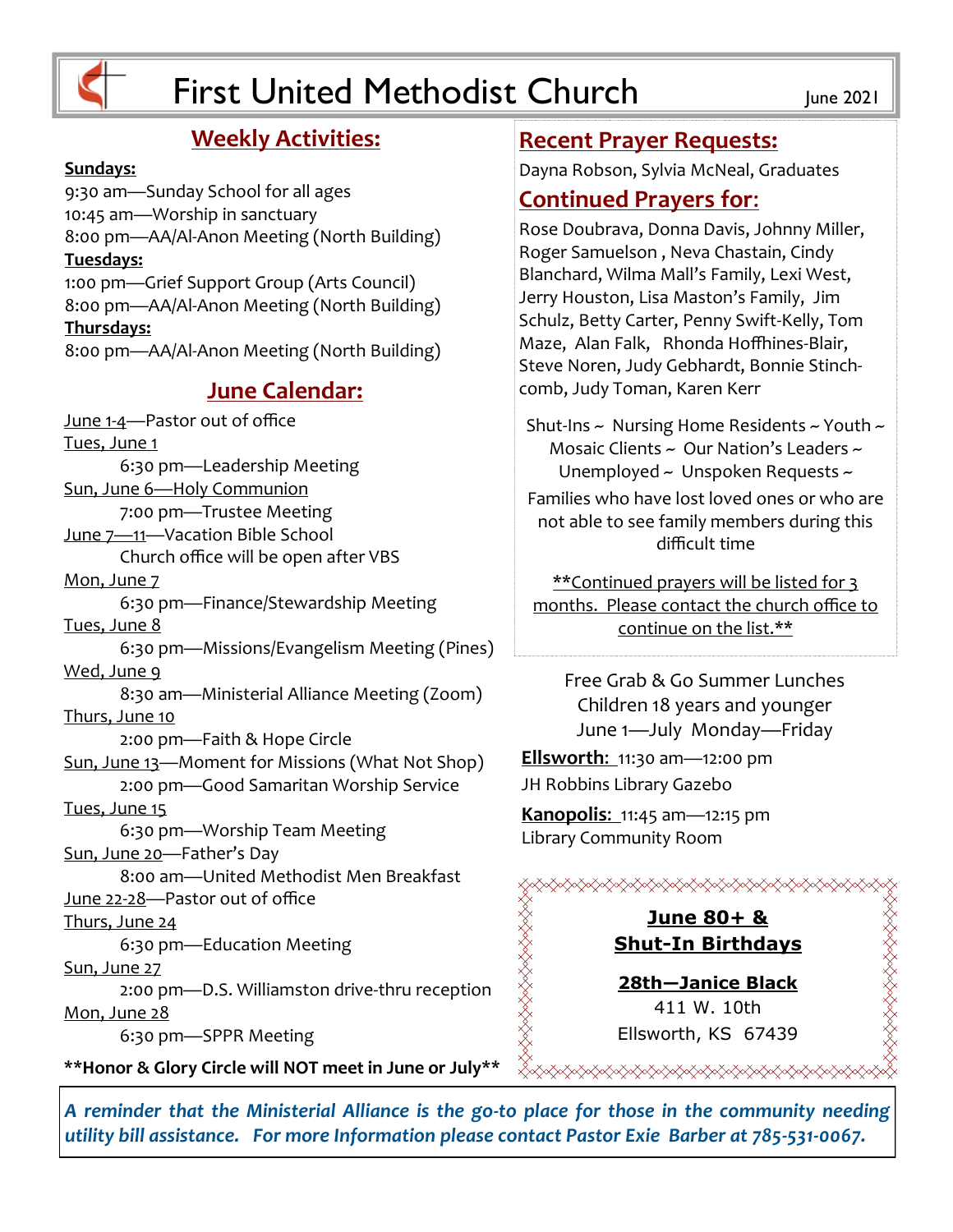

## **Weekly Activities:**

#### **Sundays:**

9:30 am—Sunday School for all ages 10:45 am—Worship in sanctuary 8:00 pm—AA/Al-Anon Meeting (North Building) **Tuesdays:** 1:00 pm—Grief Support Group (Arts Council) 8:00 pm—AA/Al-Anon Meeting (North Building) **Thursdays:** 8:00 pm—AA/Al-Anon Meeting (North Building) **June Calendar:** June 1-4—Pastor out of office Tues, June 1 6:30 pm—Leadership Meeting Sun, June 6—Holy Communion 7:00 pm—Trustee Meeting June 7—11—Vacation Bible School Church office will be open after VBS Mon, June 7 6:30 pm—Finance/Stewardship Meeting Tues, June 8 6:30 pm—Missions/Evangelism Meeting (Pines) Wed, June 9 8:30 am—Ministerial Alliance Meeting (Zoom) Thurs, June 10 2:00 pm—Faith & Hope Circle Sun, June 13—Moment for Missions (What Not Shop) 2:00 pm—Good Samaritan Worship Service Tues, June 15 6:30 pm—Worship Team Meeting Sun, June 20—Father's Day 8:00 am—United Methodist Men Breakfast June 22-28—Pastor out of office

Thurs, June 24

6:30 pm—Education Meeting

#### Sun, June 27 2:00 pm—D.S. Williamston drive-thru reception

Mon, June 28

6:30 pm—SPPR Meeting

**\*\*Honor & Glory Circle will NOT meet in June or July\*\***

#### **Recent Prayer Requests:**

Dayna Robson, Sylvia McNeal, Graduates

### **Continued Prayers for**:

Rose Doubrava, Donna Davis, Johnny Miller, Roger Samuelson , Neva Chastain, Cindy Blanchard, Wilma Mall's Family, Lexi West, Jerry Houston, Lisa Maston's Family, Jim Schulz, Betty Carter, Penny Swift-Kelly, Tom Maze, Alan Falk, Rhonda Hoffhines-Blair, Steve Noren, Judy Gebhardt, Bonnie Stinchcomb, Judy Toman, Karen Kerr

Shut-Ins ~ Nursing Home Residents ~ Youth ~ Mosaic Clients ~ Our Nation's Leaders ~ Unemployed ~ Unspoken Requests ~

Families who have lost loved ones or who are not able to see family members during this difficult time

\*\*Continued prayers will be listed for 3 months. Please contact the church office to continue on the list.\*\*

Free Grab & Go Summer Lunches Children 18 years and younger June 1—July Monday—Friday

**Ellsworth**: 11:30 am—12:00 pm JH Robbins Library Gazebo

**Kanopolis**: 11:45 am—12:15 pm Library Community Room

## **June 80+ & Shut-In Birthdays**

≪≪≪≪≫≫

**28th—Janice Black** 411 W. 10th Ellsworth, KS 67439

RAARAARAARAARAARAA

*A reminder that the Ministerial Alliance is the go-to place for those in the community needing utility bill assistance. For more Information please contact Pastor Exie Barber at 785-531-0067.*

SAAAAAAAAAAAA